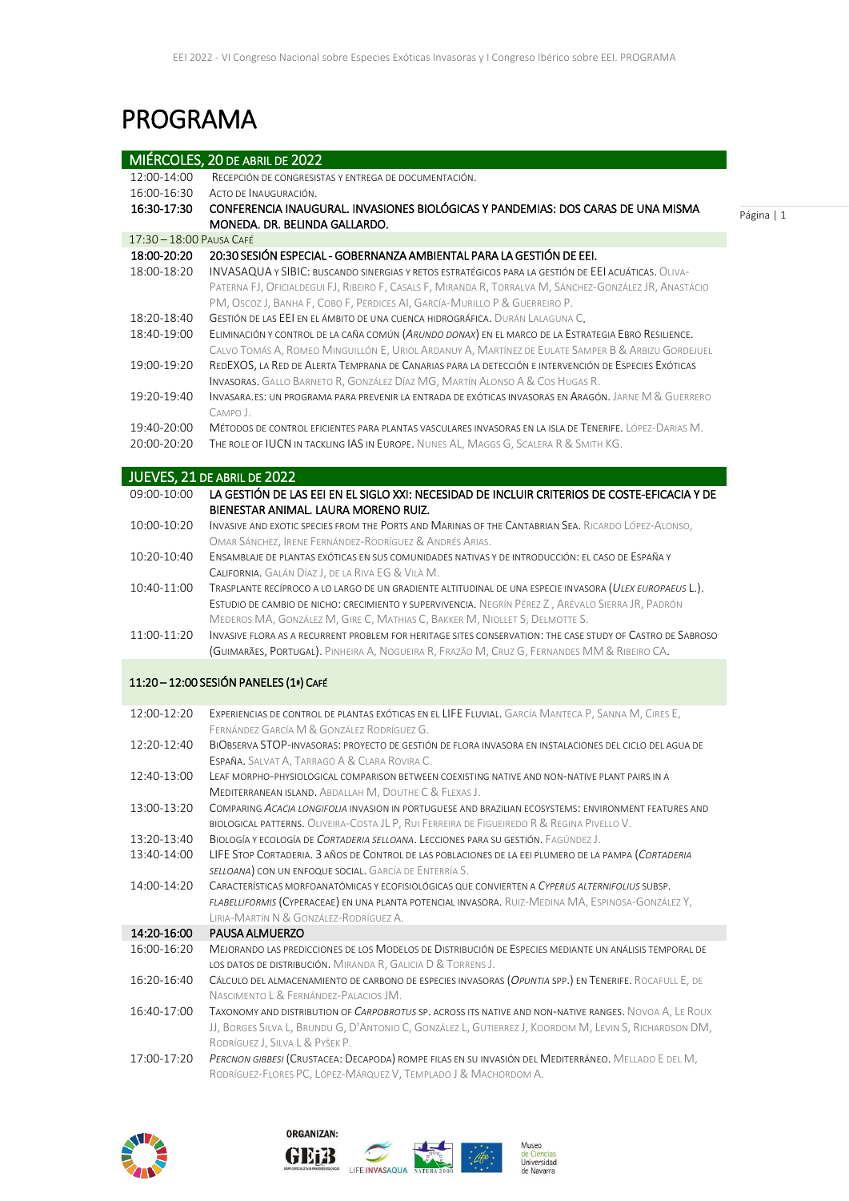# PROGRAMA

|                            | MIÉRCOLES, 20 DE ABRIL DE 2022                                                                                                                                                                                                                                                                                                                                       |
|----------------------------|----------------------------------------------------------------------------------------------------------------------------------------------------------------------------------------------------------------------------------------------------------------------------------------------------------------------------------------------------------------------|
| 12:00-14:00                | RECEPCIÓN DE CONGRESISTAS Y ENTREGA DE DOCUMENTACIÓN.                                                                                                                                                                                                                                                                                                                |
| 16:00-16:30                | ACTO DE INAUGURACIÓN.                                                                                                                                                                                                                                                                                                                                                |
| 16:30-17:30                | CONFERENCIA INAUGURAL. INVASIONES BIOLÓGICAS Y PANDEMIAS: DOS CARAS DE UNA MISMA<br>MONEDA. DR. BELINDA GALLARDO.                                                                                                                                                                                                                                                    |
| 17:30 - 18:00 PAUSA CAFÉ   |                                                                                                                                                                                                                                                                                                                                                                      |
| 18:00-20:20<br>18:00-18:20 | 20:30 SESIÓN ESPECIAL - GOBERNANZA AMBIENTAL PARA LA GESTIÓN DE EEI.<br>INVASAQUA Y SIBIC: BUSCANDO SINERGIAS Y RETOS ESTRATÉGICOS PARA LA GESTIÓN DE EEI ACUÁTICAS. OLIVA-<br>PATERNA FJ, OFICIALDEGUI FJ, RIBEIRO F, CASALS F, MIRANDA R, TORRALVA M, SÁNCHEZ-GONZÁLEZ JR, ANASTÁCIO<br>PM, OSCOZ J, BANHA F, COBO F, PERDICES AI, GARCÍA-MURILLO P & GUERREIRO P. |
| 18:20-18:40                | GESTIÓN DE LAS EEI EN EL ÁMBITO DE UNA CUENCA HIDROGRÁFICA. DURÁN LALAGUNA C.                                                                                                                                                                                                                                                                                        |
| 18:40-19:00                | ELIMINACIÓN Y CONTROL DE LA CAÑA COMÚN (ARUNDO DONAX) EN EL MARCO DE LA ESTRATEGIA EBRO RESILIENCE.<br>CALVO TOMÁS A, ROMEO MINGUILLÓN E, URIOL ARDANUY A, MARTÍNEZ DE EULATE SAMPER B & ARBIZU GORDEJUEL                                                                                                                                                            |
| 19:00-19:20                | REDEXOS, LA RED DE ALERTA TEMPRANA DE CANARIAS PARA LA DETECCIÓN E INTERVENCIÓN DE ESPECIES EXÓTICAS<br>INVASORAS. GALLO BARNETO R, GONZÁLEZ DÍAZ MG, MARTÍN ALONSO A & COS HUGAS R.                                                                                                                                                                                 |
| 19:20-19:40                | Invasara.es: un programa para prevenir la entrada de exóticas invasoras en Aragón. Jarne M & Guerrero<br>CAMPO J.                                                                                                                                                                                                                                                    |
| 19:40-20:00                | MÉTODOS DE CONTROL EFICIENTES PARA PLANTAS VASCULARES INVASORAS EN LA ISLA DE TENERIFE. LÓPEZ-DARIAS M.                                                                                                                                                                                                                                                              |
| 20:00-20:20                | THE ROLE OF IUCN IN TACKLING IAS IN EUROPE. NUNES AL, MAGGS G, SCALERA R & SMITH KG.                                                                                                                                                                                                                                                                                 |
|                            | JUEVES, 21 DE ABRIL DE 2022                                                                                                                                                                                                                                                                                                                                          |
| 09:00-10:00                | LA GESTIÓN DE LAS EEI EN EL SIGLO XXI: NECESIDAD DE INCLUIR CRITERIOS DE COSTE-EFICACIA Y DE<br>BIENESTAR ANIMAL. LAURA MORENO RUIZ.                                                                                                                                                                                                                                 |
| 10:00-10:20                | INVASIVE AND EXOTIC SPECIES FROM THE PORTS AND MARINAS OF THE CANTABRIAN SEA. RICARDO LÓPEZ-ALONSO,<br>OMAR SÁNCHEZ, IRENE FERNÁNDEZ-RODRÍGUEZ & ANDRÉS ARIAS.                                                                                                                                                                                                       |
| 10:20-10:40                | ENSAMBLAJE DE PLANTAS EXÓTICAS EN SUS COMUNIDADES NATIVAS Y DE INTRODUCCIÓN: EL CASO DE ESPAÑA Y<br>CALIFORNIA. GALÁN DÍAZ J, DE LA RIVA EG & VILA M.                                                                                                                                                                                                                |
| 10:40-11:00                | TRASPLANTE RECÍPROCO A LO LARGO DE UN GRADIENTE ALTITUDINAL DE UNA ESPECIE INVASORA (ULEX EUROPAEUS L.).<br>ESTUDIO DE CAMBIO DE NICHO: CRECIMIENTO Y SUPERVIVENCIA. NEGRÍN PÉREZ Z, ARÉVALO SIERRA JR, PADRÓN<br>MEDEROS MA, GONZÁLEZ M, GIRE C, MATHIAS C, BAKKER M, NIOLLET S, DELMOTTE S.                                                                        |
| 11:00-11:20                | INVASIVE FLORA AS A RECURRENT PROBLEM FOR HERITAGE SITES CONSERVATION: THE CASE STUDY OF CASTRO DE SABROSO<br>(GUIMARÃES, PORTUGAL). PINHEIRA A, NOGUEIRA R, FRAZÃO M, CRUZ G, FERNANDES MM & RIBEIRO CA.                                                                                                                                                            |
|                            | 11:20 - 12:00 SESIÓN PANELES (1ª) CAFÉ                                                                                                                                                                                                                                                                                                                               |
| 12:00-12:20                | EXPERIENCIAS DE CONTROL DE PLANTAS EXÓTICAS EN EL LIFE FLUVIAL. GARCÍA MANTECA P, SANNA M, CIRES E,                                                                                                                                                                                                                                                                  |
| 12:20-12:40                | FERNÁNDEZ GARCÍA M & GONZÁLEZ RODRÍGUEZ G.<br>BIOBSERVA STOP-INVASORAS: PROYECTO DE GESTIÓN DE FLORA INVASORA EN INSTALACIONES DEL CICLO DEL AGUA DE<br>ESPAÑA. SALVAT A, TARRAGÓ A & CLARA ROVIRA C.                                                                                                                                                                |
| 12:40-13:00                | LEAF MORPHO-PHYSIOLOGICAL COMPARISON BETWEEN COEXISTING NATIVE AND NON-NATIVE PLANT PAIRS IN A<br>MEDITERRANEAN ISLAND. ABDALLAH M, DOUTHE C & FLEXAS J.                                                                                                                                                                                                             |
| 13:00-13:20                | COMPARING ACACIA LONGIFOLIA INVASION IN PORTUGUESE AND BRAZILIAN ECOSYSTEMS: ENVIRONMENT FEATURES AND<br>BIOLOGICAL PATTERNS. OLIVEIRA-COSTA JL P, RUI FERREIRA DE FIGUEIREDO R & REGINA PIVELLO V.                                                                                                                                                                  |
| 13:20-13:40                | BIOLOGÍA Y ECOLOGÍA DE CORTADERIA SELLOANA. LECCIONES PARA SU GESTIÓN. FAGÚNDEZ J.                                                                                                                                                                                                                                                                                   |
| 13:40-14:00                | LIFE STOP CORTADERIA. 3 AÑOS DE CONTROL DE LAS POBLACIONES DE LA EEI PLUMERO DE LA PAMPA (CORTADERIA<br>SELLOANA) CON UN ENFOQUE SOCIAL. GARCÍA DE ENTERRÍA S.                                                                                                                                                                                                       |
| 14:00-14:20                | CARACTERÍSTICAS MORFOANATÓMICAS Y ECOFISIOLÓGICAS QUE CONVIERTEN A CYPERUS ALTERNIFOLIUS SUBSP.<br>FLABELLIFORMIS (CYPERACEAE) EN UNA PLANTA POTENCIAL INVASORA. RUIZ-MEDINA MA, ESPINOSA-GONZÁLEZ Y,<br>LIRIA-MARTÍN N & GONZÁLEZ-RODRÍGUEZ A.                                                                                                                      |
| 14:20-16:00                | PAUSA ALMUERZO                                                                                                                                                                                                                                                                                                                                                       |
| 16:00-16:20                | MEJORANDO LAS PREDICCIONES DE LOS MODELOS DE DISTRIBUCIÓN DE ESPECIES MEDIANTE UN ANÁLISIS TEMPORAL DE<br>LOS DATOS DE DISTRIBUCIÓN. MIRANDA R, GALICIA D & TORRENS J.                                                                                                                                                                                               |
| 16:20-16:40                | CÁLCULO DEL ALMACENAMIENTO DE CARBONO DE ESPECIES INVASORAS (OPUNTIA SPP.) EN TENERIFE. ROCAFULL E, DE<br>NASCIMENTO L & FERNÁNDEZ-PALACIOS JM.                                                                                                                                                                                                                      |
| 16:40-17:00                | TAXONOMY AND DISTRIBUTION OF CARPOBROTUS SP. ACROSS ITS NATIVE AND NON-NATIVE RANGES. NOVOA A, LE ROUX<br>JJ, BORGES SILVA L, BRUNDU G, D'ANTONIO C, GONZÁLEZ L, GUTIERREZ J, KOORDOM M, LEVIN S, RICHARDSON DM,<br>RODRÍGUEZ J, SILVA L & PYŠEK P.                                                                                                                  |
| 17:00-17:20                | PERCNON GIBBESI (CRUSTACEA: DECAPODA) ROMPE FILAS EN SU INVASIÓN DEL MEDITERRÁNEO. MELLADO E DEL M,<br>RODRÍGUEZ-FLORES PC, LÓPEZ-MÁRQUEZ V, TEMPLADO J & MACHORDOM A.                                                                                                                                                                                               |



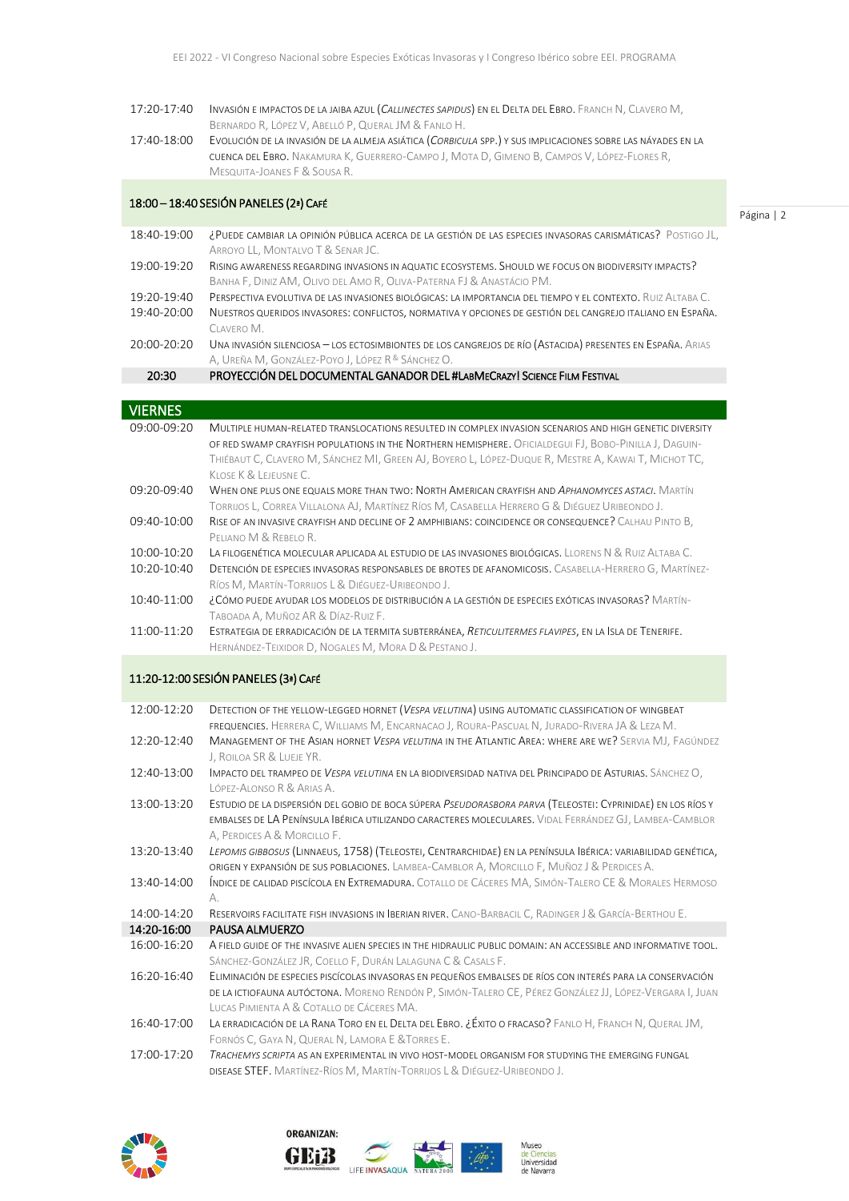- 17:20-17:40 INVASIÓN E IMPACTOS DE LA JAIBA AZUL (*CALLINECTES SAPIDUS*) EN EL DELTA DEL EBRO. FRANCH N, CLAVERO M, BERNARDO R, LÓPEZ V, ABELLÓ P, QUERAL JM & FANLO H.
- 17:40-18:00 EVOLUCIÓN DE LA INVASIÓN DE LA ALMEJA ASIÁTICA (*CORBICULA* SPP.) Y SUS IMPLICACIONES SOBRE LAS NÁYADES EN LA CUENCA DEL EBRO. NAKAMURA K, GUERRERO-CAMPO J, MOTA D, GIMENO B, CAMPOS V, LÓPEZ-FLORES R, MESQUITA-JOANES F & SOUSA R.

#### 18:00 – 18:40 SESIÓN PANELES (2ª) CAFÉ

Página | 2

- 18:40-19:00 ¿PUEDE CAMBIAR LA OPINIÓN PÚBLICA ACERCA DE LA GESTIÓN DE LAS ESPECIES INVASORAS CARISMÁTICAS? POSTIGO JL, ARROYO LL, MONTALVO T & SENAR JC. 19:00-19:20 RISING AWARENESS REGARDING INVASIONS IN AQUATIC ECOSYSTEMS. SHOULD WE FOCUS ON BIODIVERSITY IMPACTS? BANHA F, DINIZ AM, OLIVO DEL AMO R, OLIVA-PATERNA FJ & ANASTÁCIO PM. 19:20-19:40 PERSPECTIVA EVOLUTIVA DE LAS INVASIONES BIOLÓGICAS: LA IMPORTANCIA DEL TIEMPO Y EL CONTEXTO. RUIZ ALTABA C.
- 19:40-20:00 NUESTROS QUERIDOS INVASORES: CONFLICTOS, NORMATIVA Y OPCIONES DE GESTIÓN DEL CANGREJO ITALIANO EN ESPAÑA. CLAVERO M.
- 20:00-20:20 UNA INVASIÓN SILENCIOSA LOS ECTOSIMBIONTES DE LOS CANGREJOS DE RÍO (ASTACIDA) PRESENTES EN ESPAÑA. ARIAS A, Ureña M, González-Poyo J, López R & Sánchez O.
	- 20:30 PROYECCIÓN DEL DOCUMENTAL GANADOR DEL #LABMECRAZY! SCIENCE FILM FESTIVAL

| VIERNES                              |                                                                                                         |  |
|--------------------------------------|---------------------------------------------------------------------------------------------------------|--|
| 09:00-09:20                          | MULTIPLE HUMAN-RELATED TRANSLOCATIONS RESULTED IN COMPLEX INVASION SCENARIOS AND HIGH GENETIC DIVERSITY |  |
|                                      | OF RED SWAMP CRAYFISH POPULATIONS IN THE NORTHERN HEMISPHERE. OFICIALDEGUI FJ, BOBO-PINILLA J, DAGUIN-  |  |
|                                      | THIÉBAUT C, CLAVERO M, SÁNCHEZ MI, GREEN AJ, BOYERO L, LÓPEZ-DUQUE R, MESTRE A, KAWAI T, MICHOT TC,     |  |
|                                      | KLOSE K & LEJEUSNE C.                                                                                   |  |
| 09:20-09:40                          | WHEN ONE PLUS ONE EQUALS MORE THAN TWO: NORTH AMERICAN CRAYFISH AND <i>APHANOMYCES ASTACI</i> . MARTÍN  |  |
|                                      | TORRIJOS L, CORREA VILLALONA AJ, MARTÍNEZ RÍOS M, CASABELLA HERRERO G & DIÉGUEZ URIBEONDO J.            |  |
| 09:40-10:00                          | RISE OF AN INVASIVE CRAYFISH AND DECLINE OF 2 AMPHIBIANS: COINCIDENCE OR CONSEQUENCE? CALHAU PINTO B,   |  |
|                                      | PELIANO M & REBELO R.                                                                                   |  |
| 10:00-10:20                          | LA FILOGENÉTICA MOLECULAR APLICADA AL ESTUDIO DE LAS INVASIONES BIOLÓGICAS. LLORENS N & RUIZ ALTABA C.  |  |
| 10:20-10:40                          | DETENCIÓN DE ESPECIES INVASORAS RESPONSABLES DE BROTES DE AFANOMICOSIS. CASABELLA-HERRERO G, MARTÍNEZ-  |  |
|                                      | RÍOS M, MARTÍN-TORRIJOS L & DIÉGUEZ-URIBEONDO J.                                                        |  |
| 10:40-11:00                          | ¿CÓMO PUEDE AYUDAR LOS MODELOS DE DISTRIBUCIÓN A LA GESTIÓN DE ESPECIES EXÓTICAS INVASORAS? MARTÍN-     |  |
|                                      | Taboada A, Muñoz AR & Díaz-Ruiz F.                                                                      |  |
| 11:00-11:20                          | ESTRATEGIA DE ERRADICACIÓN DE LA TERMITA SUBTERRÁNEA, RETICULITERMES FLAVIPES, EN LA ISLA DE TENERIFE.  |  |
|                                      | HERNÁNDEZ-TEIXIDOR D, NOGALES M, MORA D & PESTANO J.                                                    |  |
|                                      |                                                                                                         |  |
| 11:20-12:00 SESIÓN PANELES (3ª) CAFÉ |                                                                                                         |  |
|                                      |                                                                                                         |  |
| $12:00-12:20$                        | DETECTION OF THE YELLOW-LEGGED HORNET (VESPA VELUTINA) USING AUTOMATIC CLASSIFICATION OF WINGBEAT       |  |

- FREQUENCIES. HERRERA C, WILLIAMS M, ENCARNACAO J, ROURA-PASCUAL N, JURADO-RIVERA JA & LEZA M. 12:20-12:40 MANAGEMENT OF THE ASIAN HORNET *VESPA VELUTINA* IN THE ATLANTIC AREA: WHERE ARE WE? SERVIA MJ, FAGÚNDEZ J, ROILOA SR & LUEJE YR. 12:40-13:00 IMPACTO DEL TRAMPEO DE *VESPA VELUTINA* EN LA BIODIVERSIDAD NATIVA DEL PRINCIPADO DE ASTURIAS. SÁNCHEZ O, LÓPEZ-ALONSO R & ARIAS A. 13:00-13:20 ESTUDIO DE LA DISPERSIÓN DEL GOBIO DE BOCA SÚPERA *PSEUDORASBORA PARVA* (TELEOSTEI: CYPRINIDAE) EN LOS RÍOS Y EMBALSES DE LA PENÍNSULA IBÉRICA UTILIZANDO CARACTERES MOLECULARES. VIDAL FERRÁNDEZ GJ, LAMBEA-CAMBLOR A, PERDICES A & MORCILLO F. 13:20-13:40 *LEPOMIS GIBBOSUS* (LINNAEUS, 1758) (TELEOSTEI, CENTRARCHIDAE) EN LA PENÍNSULA IBÉRICA: VARIABILIDAD GENÉTICA, ORIGEN Y EXPANSIÓN DE SUS POBLACIONES. LAMBEA-CAMBLOR A, MORCILLO F, MUÑOZ J& PERDICES A. 13:40-14:00 ÍNDICE DE CALIDAD PISCÍCOLA EN EXTREMADURA. COTALLO DE CÁCERES MA, SIMÓN-TALERO CE & MORALES HERMOSO  $\Delta$ . 14:00-14:20 RESERVOIRS FACILITATE FISH INVASIONS IN IBERIAN RIVER. CANO-BARBACIL C, RADINGER J & GARCÍA-BERTHOU E. 14:20-16:00 PAUSA ALMUERZO 16:00-16:20 A FIELD GUIDE OF THE INVASIVE ALIEN SPECIES IN THE HIDRAULIC PUBLIC DOMAIN: AN ACCESSIBLE AND INFORMATIVE TOOL. SÁNCHEZ-GONZÁLEZ JR, COELLO F, DURÁN LALAGUNA C & CASALS F.
- 16:20-16:40 ELIMINACIÓN DE ESPECIES PISCÍCOLAS INVASORAS EN PEQUEÑOS EMBALSES DE RÍOS CON INTERÉS PARA LA CONSERVACIÓN DE LA ICTIOFAUNA AUTÓCTONA. MORENO RENDÓN P, SIMÓN-TALERO CE, PÉREZ GONZÁLEZ JJ, LÓPEZ-VERGARA I, JUAN LUCAS PIMIENTA A & COTALLO DE CÁCERES MA.
- 16:40-17:00 LA ERRADICACIÓN DE LA RANA TORO EN EL DELTA DEL EBRO. ¿ÉXITO O FRACASO? FANLO H, FRANCH N, QUERAL JM, FORNÓS C, GAYA N, QUERAL N, LAMORA E &TORRES E.
- 17:00-17:20 *TRACHEMYS SCRIPTA* AS AN EXPERIMENTAL IN VIVO HOST-MODEL ORGANISM FOR STUDYING THE EMERGING FUNGAL DISEASE STEF. MARTÍNEZ-RÍOS M, MARTÍN-TORRIJOS L & DIÉGUEZ-URIBEONDO J.



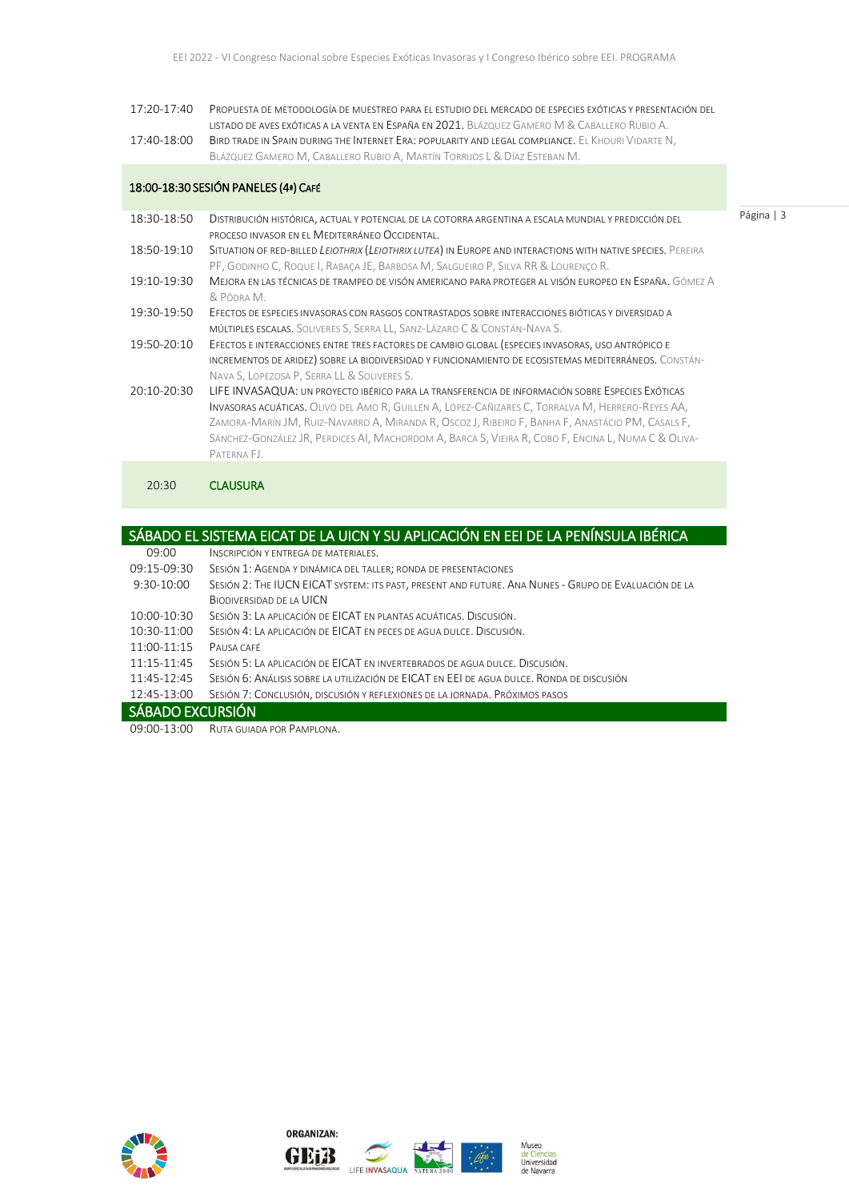17:20-17:40 PROPUESTA DE METODOLOGÍA DE MUESTREO PARA EL ESTUDIO DEL MERCADO DE ESPECIES EXÓTICAS Y PRESENTACIÓN DEL LISTADO DE AVES EXÓTICAS A LA VENTA EN ESPAÑA EN 2021. BLÁZQUEZ GAMERO M & CABALLERO RUBIO A. 17:40-18:00 BIRD TRADE IN SPAIN DURING THE INTERNET ERA: POPULARITY AND LEGAL COMPLIANCE. EL KHOURI VIDARTE N, BLÁZQUEZ GAMERO M, CABALLERO RUBIO A, MARTÍN TORRIJOS L & DÍAZ ESTEBAN M.

Página | 3

### 18:00-18:30 SESIÓN PANELES (4ª) CAFÉ

| DISTRIBUCIÓN HISTÓRICA, ACTUAL Y POTENCIAL DE LA COTORRA ARGENTINA A ESCALA MUNDIAL Y PREDICCIÓN DEL<br>PROCESO INVASOR EN EL MEDITERRÁNEO OCCIDENTAL.                                                                                                                                                                                                                                                                          |
|---------------------------------------------------------------------------------------------------------------------------------------------------------------------------------------------------------------------------------------------------------------------------------------------------------------------------------------------------------------------------------------------------------------------------------|
| SITUATION OF RED-BILLED LEIOTHRIX (LEIOTHRIX LUTEA) IN EUROPE AND INTERACTIONS WITH NATIVE SPECIES. PEREIRA<br>PF, GODINHO C, ROQUE I, RABACA JE, BARBOSA M, SALGUEIRO P, SILVA RR & LOURENCO R.                                                                                                                                                                                                                                |
| MEJORA EN LAS TÉCNICAS DE TRAMPEO DE VISÓN AMERICANO PARA PROTEGER AL VISÓN EUROPEO EN ESPAÑA. GÓMEZ A<br>& PÔDRA M.                                                                                                                                                                                                                                                                                                            |
| EFECTOS DE ESPECIES INVASORAS CON RASGOS CONTRASTADOS SOBRE INTERACCIONES BIÓTICAS Y DIVERSIDAD A<br>MÚLTIPLES ESCALAS. SOLIVERES S, SERRA LL, SANZ-LÁZARO C & CONSTÁN-NAVA S.                                                                                                                                                                                                                                                  |
| EFECTOS E INTERACCIONES ENTRE TRES FACTORES DE CAMBIO GLOBAL (ESPECIES INVASORAS, USO ANTRÓPICO E<br>INCREMENTOS DE ARIDEZ) SOBRE LA BIODIVERSIDAD Y FUNCIONAMIENTO DE ECOSISTEMAS MEDITERRÁNEOS. CONSTÁN-<br>NAVA S, LOPEZOSA P, SERRA LL & SOLIVERES S.                                                                                                                                                                       |
| LIFE INVASAQUA: UN PROYECTO IBÉRICO PARA LA TRANSFERENCIA DE INFORMACIÓN SOBRE ESPECIES EXÓTICAS<br>INVASORAS ACUÁTICAS. OLIVO DEL AMO R, GUILLÉN A, LÓPEZ-CAÑIZARES C, TORRALVA M, HERRERO-REYES AA,<br>ZAMORA-MARÍN JM, RUIZ-NAVARRO A, MIRANDA R, OSCOZ J, RIBEIRO F, BANHA F, ANASTÁCIO PM, CASALS F,<br>SÁNCHEZ-GONZÁLEZ JR, PERDICES AI, MACHORDOM A, BARCA S, VIEIRA R, COBO F, ENCINA L, NUMA C & OLIVA-<br>PATERNA FJ. |
|                                                                                                                                                                                                                                                                                                                                                                                                                                 |

#### 20:30 **CLAUSURA**

| SÁBADO EL SISTEMA EICAT DE LA UICN Y SU APLICACIÓN EN EEI DE LA PENÍNSULA IBÉRICA |                                                                                                      |  |
|-----------------------------------------------------------------------------------|------------------------------------------------------------------------------------------------------|--|
| 09:00                                                                             | INSCRIPCIÓN Y ENTREGA DE MATERIALES.                                                                 |  |
| 09:15-09:30                                                                       | SESIÓN 1: AGENDA Y DINÁMICA DEL TALLER; RONDA DE PRESENTACIONES                                      |  |
| $9:30-10:00$                                                                      | SESIÓN 2: THE IUCN EICAT SYSTEM: ITS PAST, PRESENT AND FUTURE. ANA NUNES - GRUPO DE EVALUACIÓN DE LA |  |
|                                                                                   | <b>BIODIVERSIDAD DE LA UICN</b>                                                                      |  |
| 10:00-10:30                                                                       | SESIÓN 3: LA APLICACIÓN DE EICAT EN PLANTAS ACUÁTICAS. DISCUSIÓN.                                    |  |
| 10:30-11:00                                                                       | SESIÓN 4: LA APLICACIÓN DE EICAT EN PECES DE AGUA DULCE. DISCUSIÓN.                                  |  |
| 11:00-11:15                                                                       | PAUSA CAFÉ                                                                                           |  |
| 11:15-11:45                                                                       | SESIÓN 5: LA APLICACIÓN DE EICAT EN INVERTEBRADOS DE AGUA DULCE. DISCUSIÓN.                          |  |
| 11:45-12:45                                                                       | SESIÓN 6: ANÁLISIS SOBRE LA UTILIZACIÓN DE ELCAT EN EEL DE AGUA DULCE. RONDA DE DISCUSIÓN            |  |
| 12:45-13:00                                                                       | SESIÓN 7: CONCLUSIÓN, DISCUSIÓN Y REFLEXIONES DE LA JORNADA. PRÓXIMOS PASOS                          |  |
| SÁBADO EXCURSIÓN                                                                  |                                                                                                      |  |

09:00-13:00 RUTA GUIADA POR PAMPLONA.



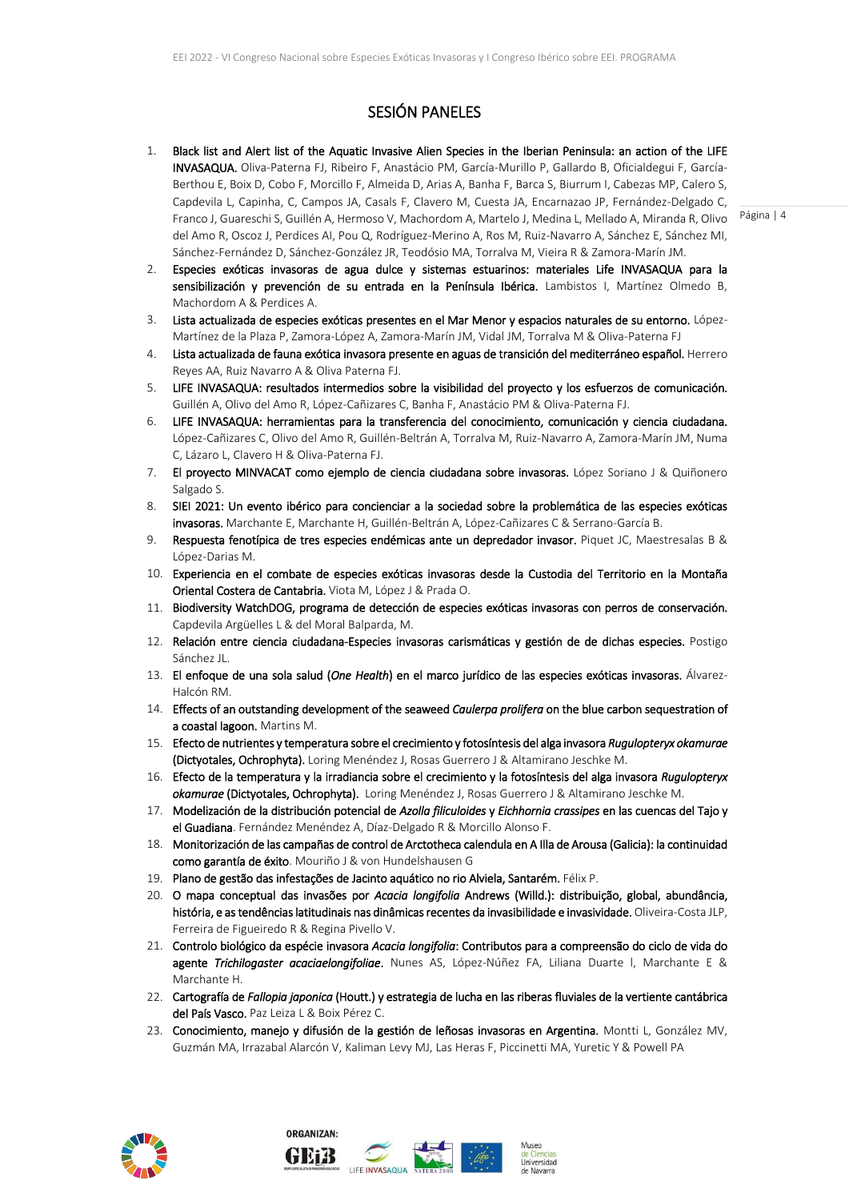## SESIÓN PANELES

- Franco J, Guareschi S, Guillén A, Hermoso V, Machordom A, Martelo J, Medina L, Mellado A, Miranda R, Olivo Página | 4 1. Black list and Alert list of the Aquatic Invasive Alien Species in the Iberian Peninsula: an action of the LIFE INVASAQUA. Oliva-Paterna FJ, Ribeiro F, Anastácio PM, García-Murillo P, Gallardo B, Oficialdegui F, García-Berthou E, Boix D, Cobo F, Morcillo F, Almeida D, Arias A, Banha F, Barca S, Biurrum I, Cabezas MP, Calero S, Capdevila L, Capinha, C, Campos JA, Casals F, Clavero M, Cuesta JA, Encarnazao JP, Fernández-Delgado C, del Amo R, Oscoz J, Perdices AI, Pou Q, Rodríguez-Merino A, Ros M, Ruiz-Navarro A, Sánchez E, Sánchez MI, Sánchez-Fernández D, Sánchez-González JR, Teodósio MA, Torralva M, Vieira R & Zamora-Marín JM.
- 2. Especies exóticas invasoras de agua dulce y sistemas estuarinos: materiales Life INVASAQUA para la sensibilización y prevención de su entrada en la Península Ibérica. Lambistos I, Martínez Olmedo B, Machordom A & Perdices A.
- 3. Lista actualizada de especies exóticas presentes en el Mar Menor y espacios naturales de su entorno. López-Martínez de la Plaza P, Zamora-López A, Zamora-Marín JM, Vidal JM, Torralva M & Oliva-Paterna FJ
- 4. Lista actualizada de fauna exótica invasora presente en aguas de transición del mediterráneo español. Herrero Reyes AA, Ruiz Navarro A & Oliva Paterna FJ.
- 5. LIFE INVASAQUA: resultados intermedios sobre la visibilidad del proyecto y los esfuerzos de comunicación. Guillén A, Olivo del Amo R, López-Cañizares C, Banha F, Anastácio PM & Oliva-Paterna FJ.
- 6. LIFE INVASAQUA: herramientas para la transferencia del conocimiento, comunicación y ciencia ciudadana. López-Cañizares C, Olivo del Amo R, Guillén-Beltrán A, Torralva M, Ruiz-Navarro A, Zamora-Marín JM, Numa C, Lázaro L, Clavero H & Oliva-Paterna FJ.
- 7. El proyecto MINVACAT como ejemplo de ciencia ciudadana sobre invasoras. López Soriano J & Quiñonero Salgado S.
- 8. SIEI 2021: Un evento ibérico para concienciar a la sociedad sobre la problemática de las especies exóticas invasoras. Marchante E, Marchante H, Guillén-Beltrán A, López-Cañizares C & Serrano-García B.
- 9. Respuesta fenotípica de tres especies endémicas ante un depredador invasor. Piquet JC, Maestresalas B & López-Darias M.
- 10. Experiencia en el combate de especies exóticas invasoras desde la Custodia del Territorio en la Montaña Oriental Costera de Cantabria. Viota M, López J & Prada O.
- 11. Biodiversity WatchDOG, programa de detección de especies exóticas invasoras con perros de conservación. Capdevila Argüelles L & del Moral Balparda, M.
- 12. Relación entre ciencia ciudadana-Especies invasoras carismáticas y gestión de de dichas especies. Postigo Sánchez JL.
- 13. El enfoque de una sola salud (*One Health*) en el marco jurídico de las especies exóticas invasoras. Álvarez-Halcón RM.
- 14. Effects of an outstanding development of the seaweed *Caulerpa prolifera* on the blue carbon sequestration of a coastal lagoon. Martins M.
- 15. Efecto de nutrientes y temperatura sobre el crecimiento y fotosíntesis del alga invasora *Rugulopteryx okamurae* (Dictyotales, Ochrophyta). Loring Menéndez J, Rosas Guerrero J & Altamirano Jeschke M.
- 16. Efecto de la temperatura y la irradiancia sobre el crecimiento y la fotosíntesis del alga invasora *Rugulopteryx okamurae* (Dictyotales, Ochrophyta). Loring Menéndez J, Rosas Guerrero J & Altamirano Jeschke M.
- 17. Modelización de la distribución potencial de *Azolla filiculoides* y *Eichhornia crassipes* en las cuencas del Tajo y el Guadiana. Fernández Menéndez A, Díaz-Delgado R & Morcillo Alonso F.
- 18. Monitorización de las campañas de control de Arctotheca calendula en A Illa de Arousa (Galicia): la continuidad como garantía de éxito. Mouriño J & von Hundelshausen G
- 19. Plano de gestão das infestações de Jacinto aquático no rio Alviela, Santarém. Félix P.
- 20. O mapa conceptual das invasões por *Acacia longifolia* Andrews (Willd.): distribuição, global, abundância, história, e as tendências latitudinais nas dinâmicas recentes da invasibilidade e invasividade. Oliveira-Costa JLP, Ferreira de Figueiredo R & Regina Pivello V.
- 21. Controlo biológico da espécie invasora *Acacia longifolia*: Contributos para a compreensão do ciclo de vida do agente *Trichilogaster acaciaelongifoliae*. Nunes AS, López-Núñez FA, Liliana Duarte l, Marchante E & Marchante H.
- 22. Cartografía de *Fallopia japonica* (Houtt.) y estrategia de lucha en las riberas fluviales de la vertiente cantábrica del País Vasco. Paz Leiza L & Boix Pérez C.
- 23. Conocimiento, manejo y difusión de la gestión de leñosas invasoras en Argentina. Montti L, González MV, Guzmán MA, Irrazabal Alarcón V, Kaliman Levy MJ, Las Heras F, Piccinetti MA, Yuretic Y & Powell PA